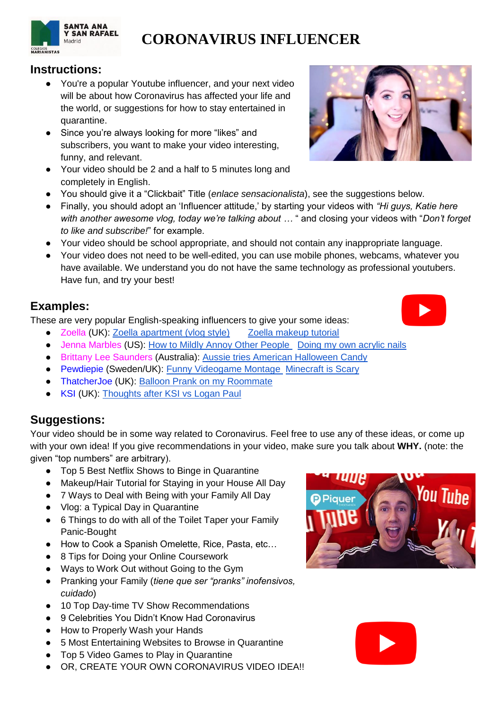

## **Instructions:**

- You're a popular Youtube influencer, and your next video will be about how Coronavirus has affected your life and the world, or suggestions for how to stay entertained in quarantine.
- Since you're always looking for more "likes" and subscribers, you want to make your video interesting, funny, and relevant.
- Your video should be 2 and a half to 5 minutes long and completely in English.
- You should give it a "Clickbait" Title (*enlace sensacionalista*), see the suggestions below.
- Finally, you should adopt an 'Influencer attitude,' by starting your videos with *"Hi guys, Katie here with another awesome vlog, today we're talking about …* " and closing your videos with "*Don't forget to like and subscribe!*" for example.
- Your video should be school appropriate, and should not contain any inappropriate language.
- Your video does not need to be well-edited, you can use mobile phones, webcams, whatever you have available. We understand you do not have the same technology as professional youtubers. Have fun, and try your best!

## **Examples:**

These are very popular English-speaking influencers to give your some ideas:

- Zoella (UK): [Zoella apartment \(vlog style\)](https://www.youtube.com/watch?v=uObxvjG06uA) Zoella makeup tutorial
- Jenna Marbles (US): [How to Mildly Annoy Other People](https://www.youtube.com/watch?v=iZJeCsXk17A) Doing my own acrylic nails
- Brittany Lee Saunders (Australia): [Aussie tries American Halloween Candy](https://www.youtube.com/watch?v=cHnH_6mA9E4)
- Pewdiepie (Sweden/UK): [Funny Videogame Montage](https://www.youtube.com/watch?v=MkXVM6ad9nI) [Minecraft is Scary](https://www.youtube.com/watch?v=pss3lcx_C_8)
- ThatcherJoe (UK): Balloon Prank on my Roommate
- KSI (UK): [Thoughts after KSI vs Logan Paul](https://www.youtube.com/watch?v=PXyZ1BwexDY)

## **Suggestions:**

Your video should be in some way related to Coronavirus. Feel free to use any of these ideas, or come up with your own idea! If you give recommendations in your video, make sure you talk about **WHY.** (note: the given "top numbers" are arbitrary).

- Top 5 Best Netflix Shows to Binge in Quarantine
- Makeup/Hair Tutorial for Staying in your House All Day
- 7 Ways to Deal with Being with your Family All Day
- Vlog: a Typical Day in Quarantine
- 6 Things to do with all of the Toilet Taper your Family Panic-Bought
- How to Cook a Spanish Omelette, Rice, Pasta, etc...
- 8 Tips for Doing your Online Coursework
- Ways to Work Out without Going to the Gym
- Pranking your Family (*tiene que ser "pranks" inofensivos, cuidado*)
- 10 Top Day-time TV Show Recommendations
- 9 Celebrities You Didn't Know Had Coronavirus
- How to Properly Wash your Hands
- 5 Most Entertaining Websites to Browse in Quarantine
- Top 5 Video Games to Play in Quarantine
- OR, CREATE YOUR OWN CORONAVIRUS VIDEO IDEA!!